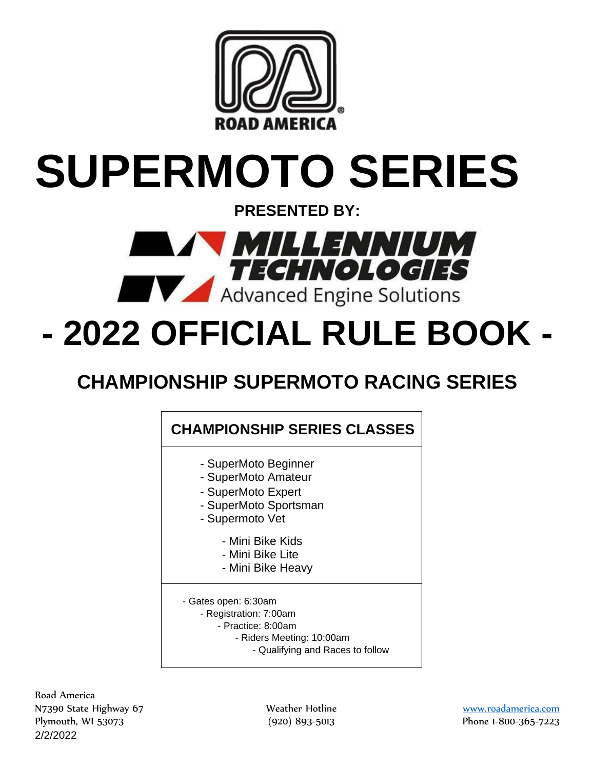

# **SUPERMOTO SERIES**

**PRESENTED BY:**



# **- 2022 OFFICIAL RULE BOOK -**

# **CHAMPIONSHIP SUPERMOTO RACING SERIES**

## **CHAMPIONSHIP SERIES CLASSES**

- SuperMoto Beginner
- SuperMoto Amateur
- SuperMoto Expert
- SuperMoto Sportsman
- Supermoto Vet
	- Mini Bike Kids
	- Mini Bike Lite
	- Mini Bike Heavy
- Gates open: 6:30am
	- Registration: 7:00am
		- Practice: 8:00am
			- Riders Meeting: 10:00am
				- Qualifying and Races to follow

2/2/2022 Road America N7390 State Highway 67 Weather Hotline [www.roadamerica.com](http://www.roadamerica.com/) Plymouth, WI 53073 (920) 893-5013 Phone 1-800-365-7223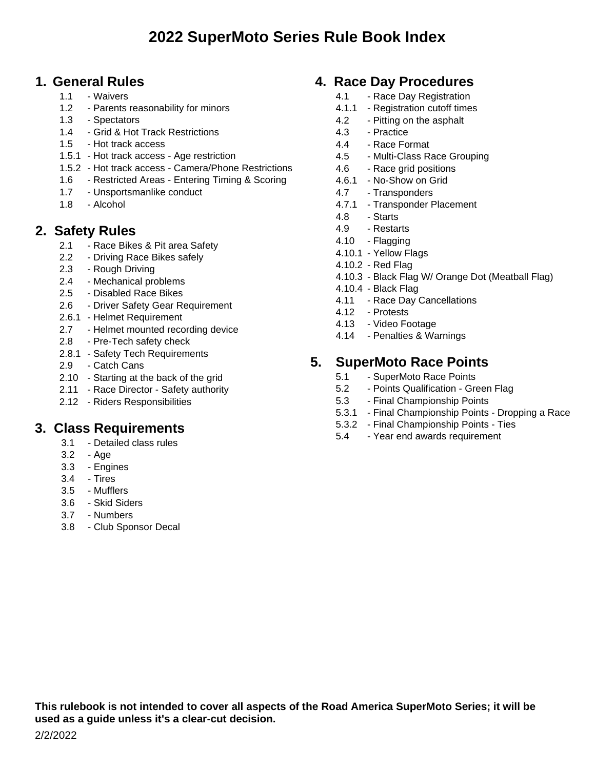## **1. General Rules**

- 1.1 Waivers
- 1.2 Parents reasonability for minors
- 1.3 Spectators
- 1.4 Grid & Hot Track Restrictions
- 1.5 Hot track access
- 1.5.1 Hot track access Age restriction
- 1.5.2 Hot track access Camera/Phone Restrictions
- 1.6 Restricted Areas Entering Timing & Scoring
- 1.7 Unsportsmanlike conduct
- 1.8 Alcohol

## **2. Safety Rules**

- 2.1 Race Bikes & Pit area Safety
- 2.2 Driving Race Bikes safely
- 2.3 Rough Driving
- 2.4 Mechanical problems
- 2.5 Disabled Race Bikes
- 2.6 Driver Safety Gear Requirement
- 2.6.1 Helmet Requirement
- 2.7 Helmet mounted recording device
- 2.8 Pre-Tech safety check
- 2.8.1 Safety Tech Requirements
- 2.9 Catch Cans
- 2.10 Starting at the back of the grid
- 2.11 Race Director Safety authority
- 2.12 Riders Responsibilities

## **3. Class Requirements**

- 3.1 Detailed class rules
- 3.2 Age
- 3.3 Engines
- 3.4 Tires
- 3.5 Mufflers
- 3.6 Skid Siders
- 3.7 Numbers
- 3.8 Club Sponsor Decal

## **4. Race Day Procedures**

- 4.1 Race Day Registration
- 4.1.1 Registration cutoff times
- 4.2 Pitting on the asphalt
- 4.3 Practice
- 4.4 Race Format
- 4.5 Multi-Class Race Grouping
- 4.6 Race grid positions
- 4.6.1 No-Show on Grid
- 4.7 Transponders
- 4.7.1 Transponder Placement
- 4.8 Starts
- 4.9 Restarts
- 4.10 Flagging
- 4.10.1 Yellow Flags
- 4.10.2 Red Flag
- 4.10.3 Black Flag W/ Orange Dot (Meatball Flag)
- 4.10.4 Black Flag
- 4.11 Race Day Cancellations
- 4.12 Protests
- 4.13 Video Footage
- 4.14 Penalties & Warnings

## **5. SuperMoto Race Points**

- 5.1 SuperMoto Race Points
- 5.2 Points Qualification Green Flag
- 5.3 Final Championship Points
- 5.3.1 Final Championship Points Dropping a Race
- 5.3.2 Final Championship Points Ties
- 5.4 Year end awards requirement

**This rulebook is not intended to cover all aspects of the Road America SuperMoto Series; it will be used as a guide unless it's a clear-cut decision.**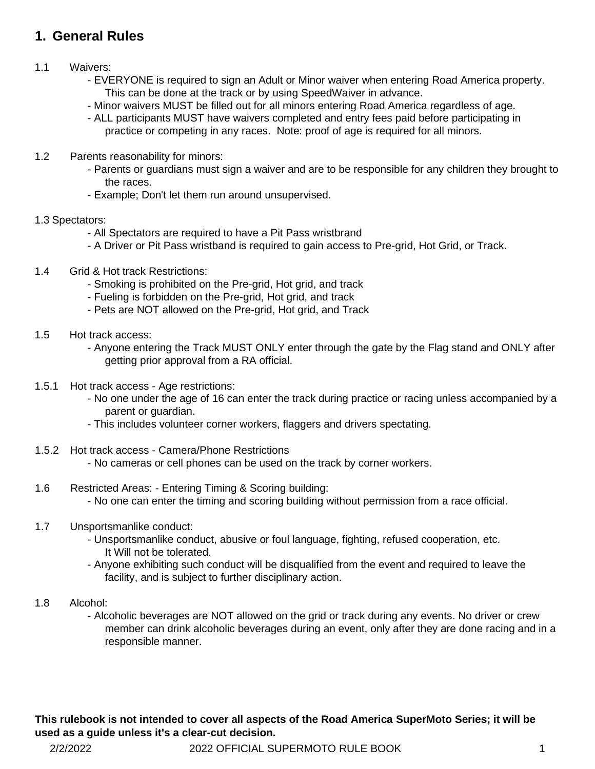## **1. General Rules**

## 1.1 Waivers:

- EVERYONE is required to sign an Adult or Minor waiver when entering Road America property. This can be done at the track or by using SpeedWaiver in advance.
- Minor waivers MUST be filled out for all minors entering Road America regardless of age.
- ALL participants MUST have waivers completed and entry fees paid before participating in practice or competing in any races. Note: proof of age is required for all minors.
- 1.2 Parents reasonability for minors:
	- Parents or guardians must sign a waiver and are to be responsible for any children they brought to the races.
	- Example; Don't let them run around unsupervised.

#### 1.3 Spectators:

- All Spectators are required to have a Pit Pass wristbrand
- A Driver or Pit Pass wristband is required to gain access to Pre-grid, Hot Grid, or Track.
- 1.4 Grid & Hot track Restrictions:
	- Smoking is prohibited on the Pre-grid, Hot grid, and track
	- Fueling is forbidden on the Pre-grid, Hot grid, and track
	- Pets are NOT allowed on the Pre-grid, Hot grid, and Track
- 1.5 Hot track access:
	- Anyone entering the Track MUST ONLY enter through the gate by the Flag stand and ONLY after getting prior approval from a RA official.
- 1.5.1 Hot track access Age restrictions:
	- No one under the age of 16 can enter the track during practice or racing unless accompanied by a parent or guardian.
	- This includes volunteer corner workers, flaggers and drivers spectating.
- 1.5.2 Hot track access Camera/Phone Restrictions
	- No cameras or cell phones can be used on the track by corner workers.
- 1.6 Restricted Areas: Entering Timing & Scoring building: - No one can enter the timing and scoring building without permission from a race official.
- 1.7 Unsportsmanlike conduct:
	- Unsportsmanlike conduct, abusive or foul language, fighting, refused cooperation, etc. It Will not be tolerated.
	- Anyone exhibiting such conduct will be disqualified from the event and required to leave the facility, and is subject to further disciplinary action.
- 1.8 Alcohol:
	- Alcoholic beverages are NOT allowed on the grid or track during any events. No driver or crew member can drink alcoholic beverages during an event, only after they are done racing and in a responsible manner.

2/2/2022 2022 OFFICIAL SUPERMOTO RULE BOOK 1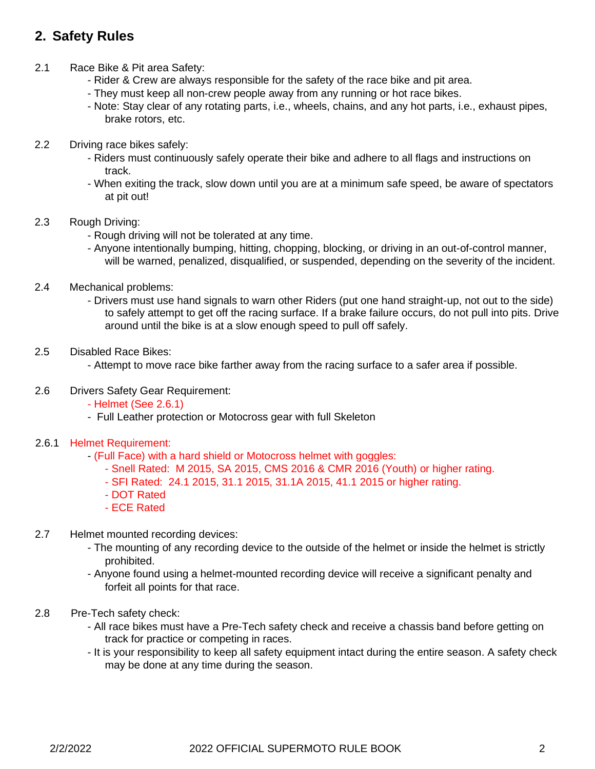## **2. Safety Rules**

- 2.1 Race Bike & Pit area Safety:
	- Rider & Crew are always responsible for the safety of the race bike and pit area.
	- They must keep all non-crew people away from any running or hot race bikes.
	- Note: Stay clear of any rotating parts, i.e., wheels, chains, and any hot parts, i.e., exhaust pipes, brake rotors, etc.
- 2.2 Driving race bikes safely:
	- Riders must continuously safely operate their bike and adhere to all flags and instructions on track.
	- When exiting the track, slow down until you are at a minimum safe speed, be aware of spectators at pit out!
- 2.3 Rough Driving:
	- Rough driving will not be tolerated at any time.
	- Anyone intentionally bumping, hitting, chopping, blocking, or driving in an out-of-control manner, will be warned, penalized, disqualified, or suspended, depending on the severity of the incident.
- 2.4 Mechanical problems:
	- Drivers must use hand signals to warn other Riders (put one hand straight-up, not out to the side) to safely attempt to get off the racing surface. If a brake failure occurs, do not pull into pits. Drive around until the bike is at a slow enough speed to pull off safely.
- 2.5 Disabled Race Bikes:
	- Attempt to move race bike farther away from the racing surface to a safer area if possible.
- 2.6 Drivers Safety Gear Requirement:
	- Helmet (See 2.6.1)
	- Full Leather protection or Motocross gear with full Skeleton
- 2.6.1 Helmet Requirement:
	- (Full Face) with a hard shield or Motocross helmet with goggles:
		- Snell Rated: M 2015, SA 2015, CMS 2016 & CMR 2016 (Youth) or higher rating.
		- SFI Rated: 24.1 2015, 31.1 2015, 31.1A 2015, 41.1 2015 or higher rating.
		- DOT Rated
		- ECE Rated
- 2.7 Helmet mounted recording devices:
	- The mounting of any recording device to the outside of the helmet or inside the helmet is strictly prohibited.
	- Anyone found using a helmet-mounted recording device will receive a significant penalty and forfeit all points for that race.
- 2.8 Pre-Tech safety check:
	- All race bikes must have a Pre-Tech safety check and receive a chassis band before getting on track for practice or competing in races.
	- It is your responsibility to keep all safety equipment intact during the entire season. A safety check may be done at any time during the season.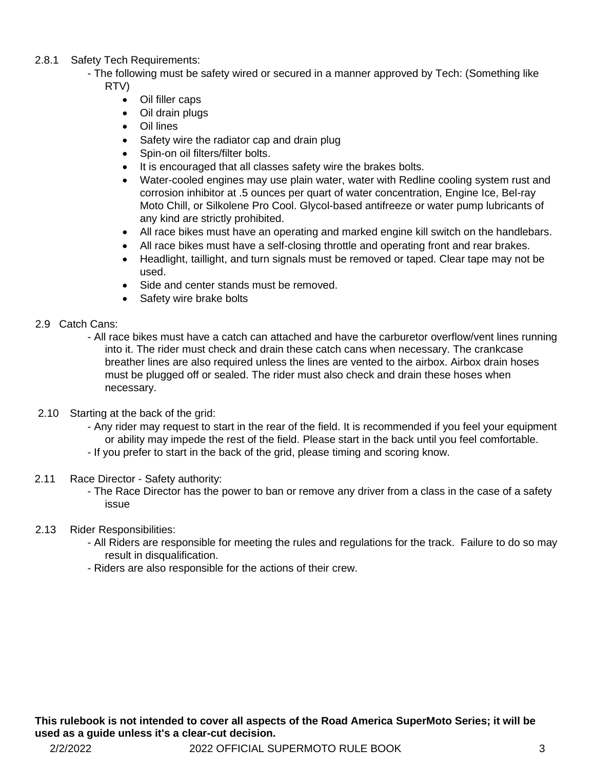- 2.8.1 Safety Tech Requirements:
	- The following must be safety wired or secured in a manner approved by Tech: (Something like RTV)
		- Oil filler caps
		- Oil drain plugs
		- Oil lines
		- Safety wire the radiator cap and drain plug
		- Spin-on oil filters/filter bolts.
		- It is encouraged that all classes safety wire the brakes bolts.
		- Water-cooled engines may use plain water, water with Redline cooling system rust and corrosion inhibitor at .5 ounces per quart of water concentration, Engine Ice, Bel-ray Moto Chill, or Silkolene Pro Cool. Glycol-based antifreeze or water pump lubricants of any kind are strictly prohibited.
		- All race bikes must have an operating and marked engine kill switch on the handlebars.
		- All race bikes must have a self-closing throttle and operating front and rear brakes.
		- Headlight, taillight, and turn signals must be removed or taped. Clear tape may not be used.
		- Side and center stands must be removed.
		- Safety wire brake bolts
- 2.9 Catch Cans:
	- All race bikes must have a catch can attached and have the carburetor overflow/vent lines running into it. The rider must check and drain these catch cans when necessary. The crankcase breather lines are also required unless the lines are vented to the airbox. Airbox drain hoses must be plugged off or sealed. The rider must also check and drain these hoses when necessary.
- 2.10 Starting at the back of the grid:
	- Any rider may request to start in the rear of the field. It is recommended if you feel your equipment or ability may impede the rest of the field. Please start in the back until you feel comfortable.
	- If you prefer to start in the back of the grid, please timing and scoring know.
- 2.11 Race Director Safety authority:
	- The Race Director has the power to ban or remove any driver from a class in the case of a safety issue
- 2.13 Rider Responsibilities:
	- All Riders are responsible for meeting the rules and regulations for the track. Failure to do so may result in disqualification.
	- Riders are also responsible for the actions of their crew.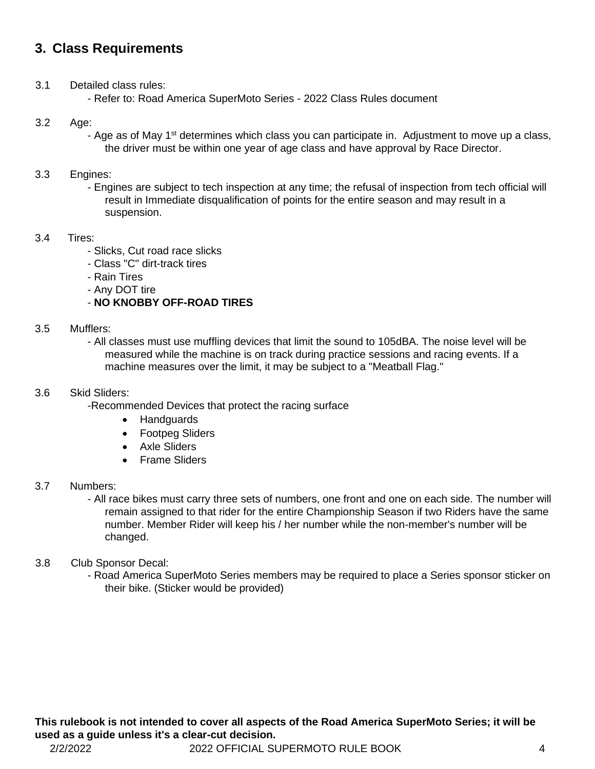## **3. Class Requirements**

- 3.1 Detailed class rules:
	- Refer to: Road America SuperMoto Series 2022 Class Rules document

## 3.2 Age:

- Age as of May 1<sup>st</sup> determines which class you can participate in. Adjustment to move up a class, the driver must be within one year of age class and have approval by Race Director.

#### 3.3 Engines:

- Engines are subject to tech inspection at any time; the refusal of inspection from tech official will result in Immediate disqualification of points for the entire season and may result in a suspension.

#### 3.4 Tires:

- Slicks, Cut road race slicks
- Class "C" dirt-track tires
- Rain Tires
- Any DOT tire

## - **NO KNOBBY OFF-ROAD TIRES**

#### 3.5 Mufflers:

- All classes must use muffling devices that limit the sound to 105dBA. The noise level will be measured while the machine is on track during practice sessions and racing events. If a machine measures over the limit, it may be subject to a "Meatball Flag."

#### 3.6 Skid Sliders:

- -Recommended Devices that protect the racing surface
	- Handguards
	- Footpeg Sliders
	- Axle Sliders
	- Frame Sliders

#### 3.7 Numbers:

- All race bikes must carry three sets of numbers, one front and one on each side. The number will remain assigned to that rider for the entire Championship Season if two Riders have the same number. Member Rider will keep his / her number while the non-member's number will be changed.

## 3.8 Club Sponsor Decal:

- Road America SuperMoto Series members may be required to place a Series sponsor sticker on their bike. (Sticker would be provided)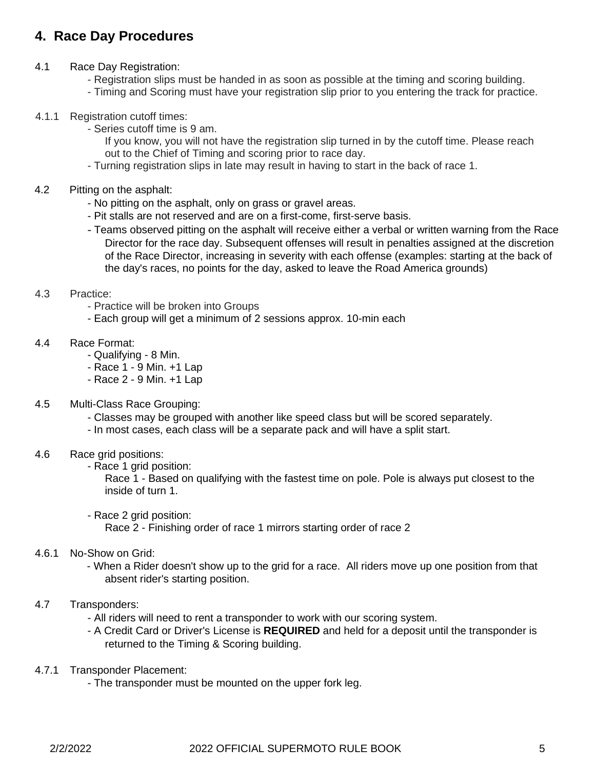## **4. Race Day Procedures**

- 4.1 Race Day Registration:
	- Registration slips must be handed in as soon as possible at the timing and scoring building.
	- Timing and Scoring must have your registration slip prior to you entering the track for practice.
- 4.1.1 Registration cutoff times:
	- Series cutoff time is 9 am.
		- If you know, you will not have the registration slip turned in by the cutoff time. Please reach out to the Chief of Timing and scoring prior to race day.
		- Turning registration slips in late may result in having to start in the back of race 1.
- 4.2 Pitting on the asphalt:
	- No pitting on the asphalt, only on grass or gravel areas.
	- Pit stalls are not reserved and are on a first-come, first-serve basis.
	- Teams observed pitting on the asphalt will receive either a verbal or written warning from the Race Director for the race day. Subsequent offenses will result in penalties assigned at the discretion of the Race Director, increasing in severity with each offense (examples: starting at the back of the day's races, no points for the day, asked to leave the Road America grounds)
- 4.3 Practice:
	- Practice will be broken into Groups
	- Each group will get a minimum of 2 sessions approx. 10-min each
- 4.4 Race Format:
	- Qualifying 8 Min.
	- Race 1 9 Min. +1 Lap
	- Race 2 9 Min. +1 Lap
- 4.5 Multi-Class Race Grouping:
	- Classes may be grouped with another like speed class but will be scored separately.
	- In most cases, each class will be a separate pack and will have a split start.
- 4.6 Race grid positions:
	- Race 1 grid position:

Race 1 - Based on qualifying with the fastest time on pole. Pole is always put closest to the inside of turn 1.

- Race 2 grid position:

Race 2 - Finishing order of race 1 mirrors starting order of race 2

#### 4.6.1 No-Show on Grid:

- When a Rider doesn't show up to the grid for a race. All riders move up one position from that absent rider's starting position.

## 4.7 Transponders:

- All riders will need to rent a transponder to work with our scoring system.
- A Credit Card or Driver's License is **REQUIRED** and held for a deposit until the transponder is returned to the Timing & Scoring building.
- 4.7.1 Transponder Placement:
	- The transponder must be mounted on the upper fork leg.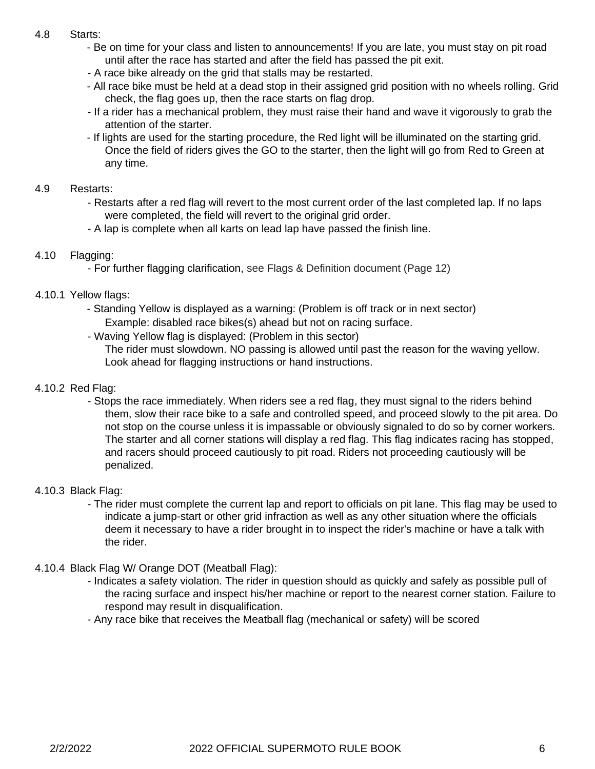## 4.8 Starts:

- Be on time for your class and listen to announcements! If you are late, you must stay on pit road until after the race has started and after the field has passed the pit exit.
- A race bike already on the grid that stalls may be restarted.
- All race bike must be held at a dead stop in their assigned grid position with no wheels rolling. Grid check, the flag goes up, then the race starts on flag drop.
- If a rider has a mechanical problem, they must raise their hand and wave it vigorously to grab the attention of the starter.
- If lights are used for the starting procedure, the Red light will be illuminated on the starting grid. Once the field of riders gives the GO to the starter, then the light will go from Red to Green at any time.

#### 4.9 Restarts:

- Restarts after a red flag will revert to the most current order of the last completed lap. If no laps were completed, the field will revert to the original grid order.
- A lap is complete when all karts on lead lap have passed the finish line.

## 4.10 Flagging:

- For further flagging clarification, see Flags & Definition document (Page 12)

## 4.10.1 Yellow flags:

- Standing Yellow is displayed as a warning: (Problem is off track or in next sector) Example: disabled race bikes(s) ahead but not on racing surface.
- Waving Yellow flag is displayed: (Problem in this sector)

The rider must slowdown. NO passing is allowed until past the reason for the waving yellow. Look ahead for flagging instructions or hand instructions.

## 4.10.2 Red Flag:

- Stops the race immediately. When riders see a red flag, they must signal to the riders behind them, slow their race bike to a safe and controlled speed, and proceed slowly to the pit area. Do not stop on the course unless it is impassable or obviously signaled to do so by corner workers. The starter and all corner stations will display a red flag. This flag indicates racing has stopped, and racers should proceed cautiously to pit road. Riders not proceeding cautiously will be penalized.

## 4.10.3 Black Flag:

- The rider must complete the current lap and report to officials on pit lane. This flag may be used to indicate a jump-start or other grid infraction as well as any other situation where the officials deem it necessary to have a rider brought in to inspect the rider's machine or have a talk with the rider.

## 4.10.4 Black Flag W/ Orange DOT (Meatball Flag):

- Indicates a safety violation. The rider in question should as quickly and safely as possible pull of the racing surface and inspect his/her machine or report to the nearest corner station. Failure to respond may result in disqualification.
- Any race bike that receives the Meatball flag (mechanical or safety) will be scored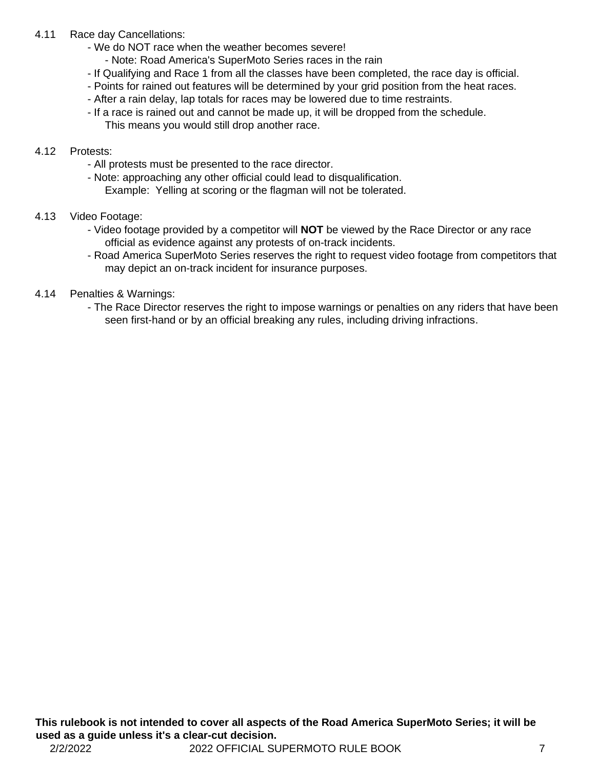## 4.11 Race day Cancellations:

- We do NOT race when the weather becomes severe!
	- Note: Road America's SuperMoto Series races in the rain
- If Qualifying and Race 1 from all the classes have been completed, the race day is official.
- Points for rained out features will be determined by your grid position from the heat races.
- After a rain delay, lap totals for races may be lowered due to time restraints.
- If a race is rained out and cannot be made up, it will be dropped from the schedule. This means you would still drop another race.

#### 4.12 Protests:

- All protests must be presented to the race director.
- Note: approaching any other official could lead to disqualification. Example: Yelling at scoring or the flagman will not be tolerated.
- 4.13 Video Footage:
	- Video footage provided by a competitor will **NOT** be viewed by the Race Director or any race official as evidence against any protests of on-track incidents.
	- Road America SuperMoto Series reserves the right to request video footage from competitors that may depict an on-track incident for insurance purposes.
- 4.14 Penalties & Warnings:
	- The Race Director reserves the right to impose warnings or penalties on any riders that have been seen first-hand or by an official breaking any rules, including driving infractions.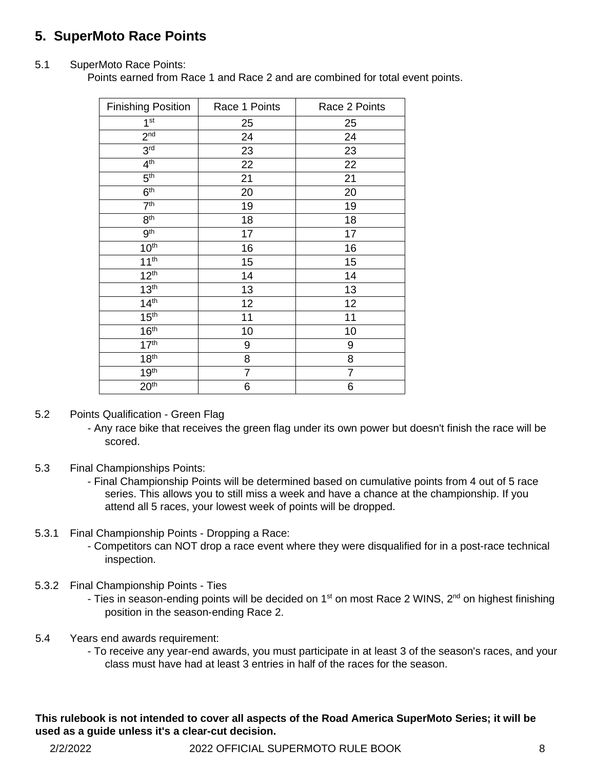## **5. SuperMoto Race Points**

## 5.1 SuperMoto Race Points:

Points earned from Race 1 and Race 2 and are combined for total event points.

| <b>Finishing Position</b> | Race 1 Points  | Race 2 Points |
|---------------------------|----------------|---------------|
| 1 <sup>st</sup>           | 25             | 25            |
| 2 <sub>nd</sub>           | 24             | 24            |
| 3 <sup>rd</sup>           | 23             | 23            |
| 4 <sup>th</sup>           | 22             | 22            |
| 5 <sup>th</sup>           | 21             | 21            |
| 6 <sup>th</sup>           | 20             | 20            |
| 7 <sup>th</sup>           | 19             | 19            |
| 8 <sup>th</sup>           | 18             | 18            |
| 9 <sup>th</sup>           | 17             | 17            |
| 10 <sup>th</sup>          | 16             | 16            |
| 11 <sup>th</sup>          | 15             | 15            |
| 12 <sup>th</sup>          | 14             | 14            |
| 13 <sup>th</sup>          | 13             | 13            |
| 14 <sup>th</sup>          | 12             | 12            |
| 15 <sup>th</sup>          | 11             | 11            |
| 16 <sup>th</sup>          | 10             | 10            |
| 17 <sup>th</sup>          | 9              | 9             |
| 18 <sup>th</sup>          | 8              | 8             |
| 19 <sup>th</sup>          | $\overline{7}$ | 7             |
| 20 <sup>th</sup>          | 6              | 6             |

5.2 Points Qualification - Green Flag

- Any race bike that receives the green flag under its own power but doesn't finish the race will be scored.

- 5.3 Final Championships Points:
	- Final Championship Points will be determined based on cumulative points from 4 out of 5 race series. This allows you to still miss a week and have a chance at the championship. If you attend all 5 races, your lowest week of points will be dropped.
- 5.3.1 Final Championship Points Dropping a Race:
	- Competitors can NOT drop a race event where they were disqualified for in a post-race technical inspection.
- 5.3.2 Final Championship Points Ties
	- Ties in season-ending points will be decided on  $1<sup>st</sup>$  on most Race 2 WINS,  $2<sup>nd</sup>$  on highest finishing position in the season-ending Race 2.
- 5.4 Years end awards requirement:
	- To receive any year-end awards, you must participate in at least 3 of the season's races, and your class must have had at least 3 entries in half of the races for the season.

## **This rulebook is not intended to cover all aspects of the Road America SuperMoto Series; it will be used as a guide unless it's a clear-cut decision.**

2/2/2022 2022 OFFICIAL SUPERMOTO RULE BOOK 8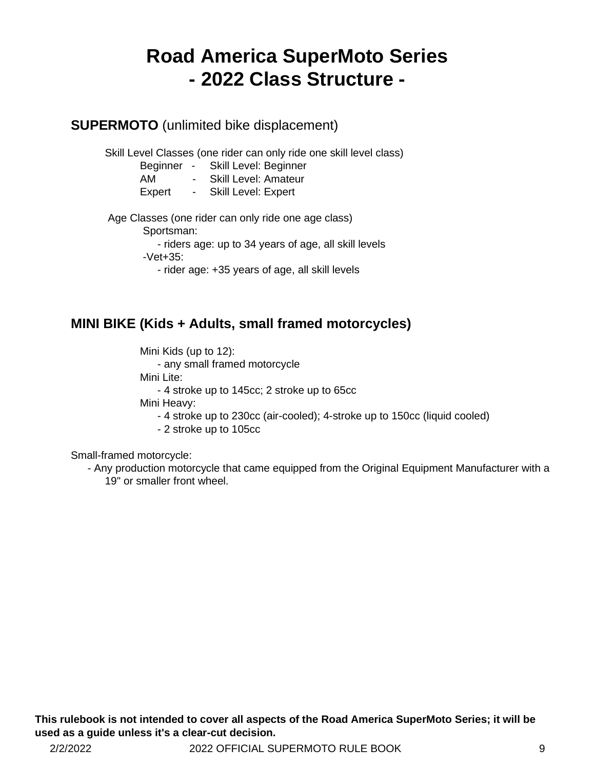## **Road America SuperMoto Series - 2022 Class Structure -**

## **SUPERMOTO** (unlimited bike displacement)

Skill Level Classes (one rider can only ride one skill level class)

- Beginner Skill Level: Beginner
- AM Skill Level: Amateur
- Expert Skill Level: Expert

Age Classes (one rider can only ride one age class)

Sportsman:

- riders age: up to 34 years of age, all skill levels

-Vet+35:

- rider age: +35 years of age, all skill levels

## **MINI BIKE (Kids + Adults, small framed motorcycles)**

Mini Kids (up to 12):

- any small framed motorcycle

Mini Lite:

- 4 stroke up to 145cc; 2 stroke up to 65cc

Mini Heavy:

- 4 stroke up to 230cc (air-cooled); 4-stroke up to 150cc (liquid cooled)

- 2 stroke up to 105cc

Small-framed motorcycle:

- Any production motorcycle that came equipped from the Original Equipment Manufacturer with a 19" or smaller front wheel.